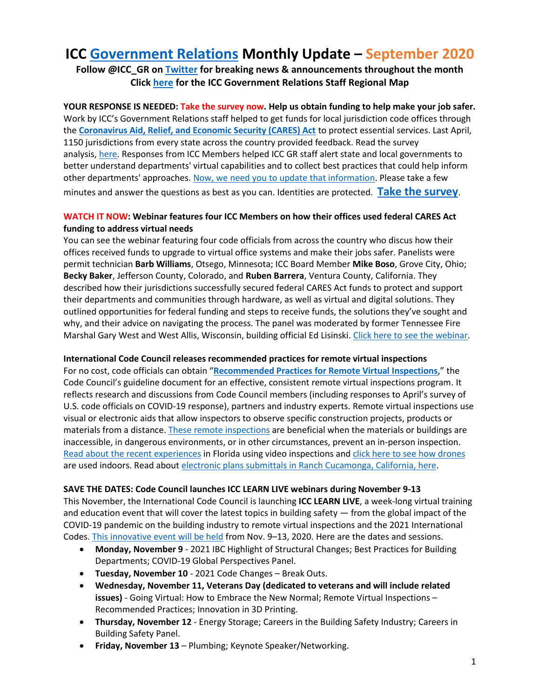# **ICC [Government Relations](https://www.iccsafe.org/about-icc/government-relations/) Monthly Update – September 2020**

**Follow @ICC\_GR on [Twitter](https://twitter.com/ICC_GR) for breaking news & announcements throughout the month Clic[k here](https://www.iccsafe.org/membership/chapters/icc-chapters-and-boardstaff-liaison-map/) for the ICC Government Relations Staff Regional Map**

**YOUR RESPONSE IS NEEDED: Take the survey now. Help us obtain funding to help make your job safer.** Work by ICC's Government Relations staff helped to get funds for local jurisdiction code offices through the **[Coronavirus Aid, Relief, and Economic Security \(CARES\) Act](https://home.treasury.gov/policy-issues/cares)** to protect essential services. Last April, 1150 jurisdictions from every state across the country provided feedback. Read the survey analysis, [here.](https://www.iccsafe.org/wp-content/uploads/20-18952_GR_Survey_Analysis_RPT_FINAL_HIRES.pdf?utm_source=magnetmail&utm_medium=email&utm_content=INSERT_MESSAGE_NAME&utm_campaign=INSERT_MESSAGE_CATEGORY_NAME) Responses from ICC Members helped ICC GR staff alert state and local governments to better understand departments' virtual capabilities and to collect best practices that could help inform other departments' approaches. [Now, we need you to update that information.](https://www.iccsafe.org/about/periodicals-and-newsroom/icc-pulse/icc-pulse-covid-19-survey/) Please take a few minutes and answer the questions as best as you can. Identities are protected. **Take [the survey](https://forms.microsoft.com/Pages/ResponsePage.aspx?id=Euw-Fz1-0Ea4P1p0JGswN61IVxc2LgJOnMqX25_-ECBUNkdPU0M3SFlaNDM0VksxRFY0WEJTUjVZNC4u)**.

# **WATCH IT NOW: Webinar features four ICC Members on how their offices used federal CARES Act funding to address virtual needs**

You can see the webinar featuring four code officials from across the country who discus how their offices received funds to upgrade to virtual office systems and make their jobs safer. Panelists were permit technician **Barb Williams**, Otsego, Minnesota; ICC Board Member **Mike Boso**, Grove City, Ohio; **Becky Baker**, Jefferson County, Colorado, and **Ruben Barrera**, Ventura County, California. They described how their jurisdictions successfully secured federal CARES Act funds to protect and support their departments and communities through hardware, as well as virtual and digital solutions. They outlined opportunities for federal funding and steps to receive funds, the solutions they've sought and why, and their advice on navigating the process. The panel was moderated by former Tennessee Fire Marshal Gary West and West Allis, Wisconsin, building official Ed Lisinski. [Click here to see the webinar.](http://media.iccsafe.org/2020_MarComm/Using_Federal_CARES_Act_Funds_A_Panel_of_Code_Officials_Success_Stories.mp4)

# **International Code Council releases recommended practices for remote virtual inspections**

For no cost, code officials can obtain "**[Recommended Practices for Remote Virtual Inspections](http://media.iccsafe.org/2020_MarComm/Remote_Video_Insp_FINAL_w_Covers.pdf)**," the Code Council's guideline document for an effective, consistent remote virtual inspections program. It reflects research and discussions from Code Council members (including responses to April's survey of U.S. code officials on COVID-19 response), partners and industry experts. Remote virtual inspections use visual or electronic aids that allow inspectors to observe specific construction projects, products or materials from a distance. [These remote inspections](https://www.iccsafe.org/about/periodicals-and-newsroom/international-code-council-releases-recommended-practices-for-remote-virtual-inspections/) are beneficial when the materials or buildings are inaccessible, in dangerous environments, or in other circumstances, prevent an in-person inspection. [Read about the recent experiences](https://www.iccsafe.org/building-safety-journal/bsj-hits/collier-naples-and-marco-island-using-video-for-building-inspections-amid-covid-19-pandemic/) in Florida using video inspections and [click here to see how drones](https://www.zdnet.com/article/heads-up-flying-robots-inspect-indoor-spaces/) are used indoors. Read about [electronic plans submittals in Ranch Cucamonga, California, here.](https://www.iccsafe.org/building-safety-journal/bsj-perspectives/move-to-electronic-plans-submittals-keeps-rancho-cucamonga-developments-on-track-during-pandemic/)

## **SAVE THE DATES: Code Council launches ICC LEARN LIVE webinars during November 9-13**

This November, the International Code Council is launching **ICC LEARN LIVE**, a week-long virtual training and education event that will cover the latest topics in building safety — from the global impact of the COVID-19 pandemic on the building industry to remote virtual inspections and the 2021 International Codes[. This innovative event will be held](https://www.iccsafe.org/building-safety-journal/bsj-hits/icc-learn-live-to-highlight-the-latest-topics-in-building-safety) from Nov. 9–13, 2020. Here are the dates and sessions.

- **Monday, November 9** 2021 IBC Highlight of Structural Changes; Best Practices for Building Departments; COVID-19 Global Perspectives Panel.
- **Tuesday, November 10** 2021 Code Changes Break Outs.
- **Wednesday, November 11, Veterans Day (dedicated to veterans and will include related issues)** - Going Virtual: How to Embrace the New Normal; Remote Virtual Inspections – Recommended Practices; Innovation in 3D Printing.
- **Thursday, November 12** Energy Storage; Careers in the Building Safety Industry; Careers in Building Safety Panel.
- **Friday, November 13** Plumbing; Keynote Speaker/Networking.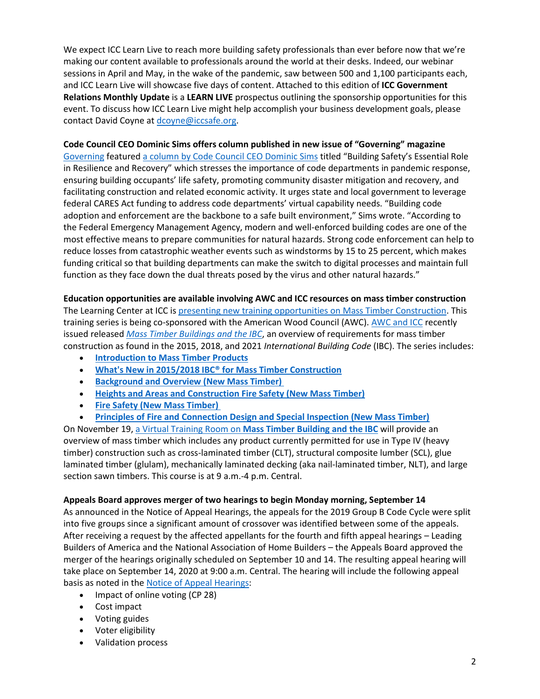We expect ICC Learn Live to reach more building safety professionals than ever before now that we're making our content available to professionals around the world at their desks. Indeed, our webinar sessions in April and May, in the wake of the pandemic, saw between 500 and 1,100 participants each, and ICC Learn Live will showcase five days of content. Attached to this edition of **ICC Government Relations Monthly Update** is a **LEARN LIVE** prospectus outlining the sponsorship opportunities for this event. To discuss how ICC Learn Live might help accomplish your business development goals, please contact David Coyne a[t dcoyne@iccsafe.org.](mailto:dcoyne@iccsafe.org)

## **Code Council CEO Dominic Sims offers column published in new issue of "Governing" magazine**

[Governing](https://www.governing.com/) featured [a column by Code Council CEO Dominic Sims](https://www.governing.com/community/Building-Safetys-Essential-Role-in-Resilience-and-Recovery.html) titled "Building Safety's Essential Role in Resilience and Recovery" which stresses the importance of code departments in pandemic response, ensuring building occupants' life safety, promoting community disaster mitigation and recovery, and facilitating construction and related economic activity. It urges state and local government to leverage federal CARES Act funding to address code departments' virtual capability needs. "Building code adoption and enforcement are the backbone to a safe built environment," Sims wrote. "According to the Federal Emergency Management Agency, modern and well-enforced building codes are one of the most effective means to prepare communities for natural hazards. Strong code enforcement can help to reduce losses from catastrophic weather events such as windstorms by 15 to 25 percent, which makes funding critical so that building departments can make the switch to digital processes and maintain full function as they face down the dual threats posed by the virus and other natural hazards."

## **Education opportunities are available involving AWC and ICC resources on mass timber construction**

The Learning Center at ICC is [presenting new training opportunities on Mass Timber Construction.](https://www.iccsafe.org/professional-development/education/mass-timber-training/) This training series is being co-sponsored with the American Wood Council (AWC). [AWC and ICC](https://www.iccsafe.org/about/periodicals-and-newsroom/awc-and-icc-release-mass-timber-buildings-and-the-ibc/) recently issued released *[Mass Timber Buildings and the IBC](https://shop.iccsafe.org/mass-timber-buildings-and-the-ibcr.html)*, an overview of requirements for mass timber construction as found in the 2015, 2018, and 2021 *International Building Code* (IBC). The series includes:

- **[Introduction to Mass Timber Products](https://learn.iccsafe.org/?course_id=36518)**
- **[What's New in 2015/2018 IBC® for Mass Timber Construction](https://learn.iccsafe.org/?course_id=36519)**
- **[Background and Overview \(New Mass Timber\)](https://learn.iccsafe.org/?course_id=36520)**
- **[Heights and Areas and Construction Fire Safety \(New Mass Timber\)](https://learn.iccsafe.org/?course_id=36521)**
- **[Fire Safety \(New Mass Timber\)](https://learn.iccsafe.org/?course_id=36523)**
- **Principles of Fire and [Connection Design and Special Inspection \(New Mass Timber\)](https://learn.iccsafe.org/?course_id=36526)**

On November 19, a Virtual Training Room on **[Mass Timber Building and the IBC](https://learn.iccsafe.org/ihtml/application/student/interface.icc/index.htm?course_id=36584)** will provide an overview of mass timber which includes any product currently permitted for use in Type IV (heavy timber) construction such as cross-laminated timber (CLT), structural composite lumber (SCL), glue laminated timber (glulam), mechanically laminated decking (aka nail-laminated timber, NLT), and large section sawn timbers. This course is at 9 a.m.-4 p.m. Central.

## **Appeals Board approves merger of two hearings to begin Monday morning, September 14**

As announced in the Notice of Appeal Hearings, the appeals for the 2019 Group B Code Cycle were split into five groups since a significant amount of crossover was identified between some of the appeals. After receiving a request by the affected appellants for the fourth and fifth appeal hearings – Leading Builders of America and the National Association of Home Builders – the Appeals Board approved the merger of the hearings originally scheduled on September 10 and 14. The resulting appeal hearing will take place on September 14, 2020 at 9:00 a.m. Central. The hearing will include the following appeal basis as noted in the [Notice of Appeal Hearings:](https://protect-us.mimecast.com/s/XG9uC1wD25ixBJOuVD2wK?domain=send.iccsafe.org)

- Impact of online voting (CP 28)
- Cost impact
- Voting guides
- Voter eligibility
- Validation process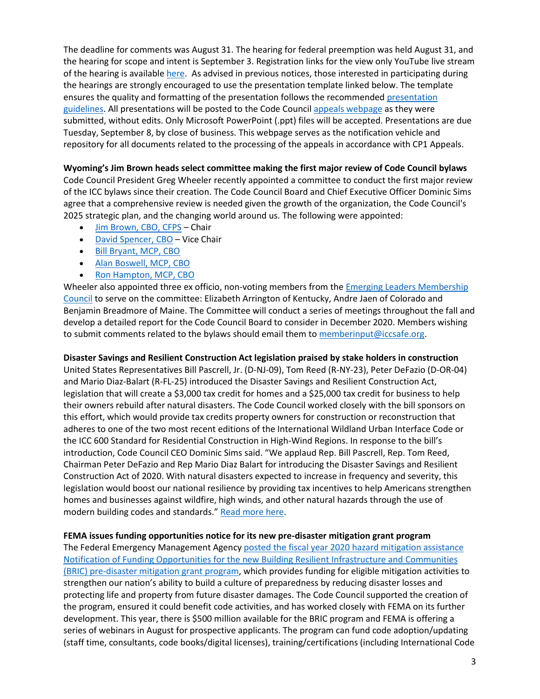The deadline for comments was August 31. The hearing for federal preemption was held August 31, and the hearing for scope and intent is September 3. Registration links for the view only YouTube live stream of the hearing is available [here.](https://protect-us.mimecast.com/s/KpxMC2kE36UWZ56SEGmKA?domain=send.iccsafe.org) As advised in previous notices, those interested in participating during the hearings are strongly encouraged to use the presentation template linked below. The template ensures the quality and formatting of the presentation follows the recommended [presentation](https://protect-us.mimecast.com/s/a4ITC31G47io9DxCrpYbD?domain=send.iccsafe.org)  [guidelines.](https://protect-us.mimecast.com/s/a4ITC31G47io9DxCrpYbD?domain=send.iccsafe.org) All presentations will be posted to the Code Council [appeals webpage](https://protect-us.mimecast.com/s/FSXdC4xJ5gSE946CZsg9w?domain=send.iccsafe.org) as they were submitted, without edits. Only Microsoft PowerPoint (.ppt) files will be accepted. Presentations are due Tuesday, September 8, by close of business. This webpage serves as the notification vehicle and repository for all documents related to the processing of the appeals in accordance with CP1 Appeals.

## **Wyoming's Jim Brown heads select committee making the first major review of Code Council bylaws**

Code Council President Greg Wheeler recently appointed a committee to conduct the first major review of the ICC bylaws since their creation. The Code Council Board and Chief Executive Officer Dominic Sims agree that a comprehensive review is needed given the growth of the organization, the Code Council's 2025 strategic plan, and the changing world around us. The following were appointed:

- [Jim Brown, CBO, CFPS](https://protect-us.mimecast.com/s/h97MCkRPyzCALz7u7vpsM?domain=send.iccsafe.org) Chair
- [David Spencer, CBO](https://protect-us.mimecast.com/s/rMpfClYPzAfm9NyI7XJ1D?domain=send.iccsafe.org) Vice Chair
- [Bill Bryant, MCP, CBO](https://protect-us.mimecast.com/s/rP0ZCmZPABC80NZhrKs17?domain=send.iccsafe.org)
- [Alan Boswell, MCP, CBO](https://protect-us.mimecast.com/s/4xzYCn5PBDigyNzTwgjiS?domain=send.iccsafe.org)
- [Ron Hampton, MCP, CBO](https://protect-us.mimecast.com/s/awM8Co2PDEU5o3MIKnIa-?domain=send.iccsafe.org)

Wheeler also appointed three ex officio, non-voting members from the *Emerging Leaders Membership* [Council](https://protect-us.mimecast.com/s/Bkh4CpYPEGfql3Gh8Dsg4?domain=send.iccsafe.org) to serve on the committee: Elizabeth Arrington of Kentucky, Andre Jaen of Colorado and Benjamin Breadmore of Maine. The Committee will conduct a series of meetings throughout the fall and develop a detailed report for the Code Council Board to consider in December 2020. Members wishing to submit comments related to the bylaws should email them to [memberinput@iccsafe.org.](mailto:memberinput@iccsafe.org)

## **Disaster Savings and Resilient Construction Act legislation praised by stake holders in construction**

United States Representatives Bill Pascrell, Jr. (D-NJ-09), Tom Reed (R-NY-23), Peter DeFazio (D-OR-04) and Mario Diaz-Balart (R-FL-25) introduced the Disaster Savings and Resilient Construction Act, legislation that will create a \$3,000 tax credit for homes and a \$25,000 tax credit for business to help their owners rebuild after natural disasters. The Code Council worked closely with the bill sponsors on this effort, which would provide tax credits property owners for construction or reconstruction that adheres to one of the two most recent editions of the International Wildland Urban Interface Code or the ICC 600 Standard for Residential Construction in High-Wind Regions. In response to the bill's introduction, Code Council CEO Dominic Sims said. "We applaud Rep. Bill Pascrell, Rep. Tom Reed, Chairman Peter DeFazio and Rep Mario Diaz Balart for introducing the Disaster Savings and Resilient Construction Act of 2020. With natural disasters expected to increase in frequency and severity, this legislation would boost our national resilience by providing tax incentives to help Americans strengthen homes and businesses against wildfire, high winds, and other natural hazards through the use of modern building codes and standards." [Read more here.](https://www.iccsafe.org/building-safety-journal/bsj-hits/disaster-savings-and-resilient-construction-act-legislation-introduced)

## **FEMA issues funding opportunities notice for its new pre-disaster mitigation grant program**

The Federal Emergency Management Agenc[y posted the fiscal year 2020 hazard mitigation assistance](https://protect-us.mimecast.com/s/YZ3FC31G47ixnvEtq1UJMb?domain=send.iccsafe.org)  [Notification of Funding Opportunities for the new Building Resilient Infrastructure and](https://protect-us.mimecast.com/s/YZ3FC31G47ixnvEtq1UJMb?domain=send.iccsafe.org) Communities [\(BRIC\) pre-disaster mitigation grant program,](https://protect-us.mimecast.com/s/YZ3FC31G47ixnvEtq1UJMb?domain=send.iccsafe.org) which provides funding for eligible mitigation activities to strengthen our nation's ability to build a culture of preparedness by reducing disaster losses and protecting life and property from future disaster damages. The Code Council supported the creation of the program, ensured it could benefit code activities, and has worked closely with FEMA on its further development. This year, there is \$500 million available for the BRIC program and FEMA is offering a series of webinars in August for prospective applicants. The program can fund code adoption/updating (staff time, consultants, code books/digital licenses), training/certifications (including International Code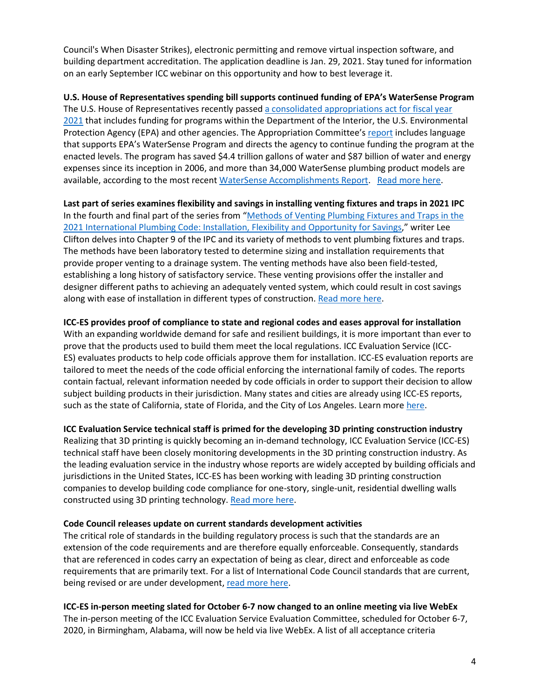Council's When Disaster Strikes), electronic permitting and remove virtual inspection software, and building department accreditation. The application deadline is Jan. 29, 2021. Stay tuned for information on an early September ICC webinar on this opportunity and how to best leverage it.

**U.S. House of Representatives spending bill supports continued funding of EPA's WaterSense Program** The U.S. House of Representatives recently passed [a consolidated appropriations act for fiscal year](https://appropriations.house.gov/sites/democrats.appropriations.house.gov/files/Interior%20Report%20Full%20Committee%20Print.pdf)  [2021](https://appropriations.house.gov/sites/democrats.appropriations.house.gov/files/Interior%20Report%20Full%20Committee%20Print.pdf) that includes funding for programs within the Department of the Interior, the U.S. Environmental Protection Agency (EPA) and other agencies. The Appropriation Committee's [report](https://appropriations.house.gov/sites/democrats.appropriations.house.gov/files/Interior%20Report%20Full%20Committee%20Print.pdf) includes language that supports EPA's WaterSense Program and directs the agency to continue funding the program at the enacted levels. The program has saved \$4.4 trillion gallons of water and \$87 billion of water and energy expenses since its inception in 2006, and more than 34,000 WaterSense plumbing product models are available, according to the most recent [WaterSense Accomplishments Report.](https://www.epa.gov/watersense/accomplishments-and-history) [Read more here.](https://www.iccsafe.org/building-safety-journal/bsj-hits/u-s-house-of-representatives-budget-bill-supports-continued-funding-of-epas-watersense-program?utm_source=magnetmail&utm_medium=email&utm_content=200813%2Dbsj%2Df&utm_campaign=bsj)

**Last part of series examines flexibility and savings in installing venting fixtures and traps in 2021 IPC** In the fourth and final part of the series from "[Methods of Venting Plumbing Fixtures and Traps in the](https://www.iccsafe.org/wp-content/uploads/20-18927_GR_2021_Plumbing_Venting_Brochure.pdf)  [2021 International Plumbing Code: Installation, Flexibility and Opportunity for Savings](https://www.iccsafe.org/wp-content/uploads/20-18927_GR_2021_Plumbing_Venting_Brochure.pdf)," writer Lee Clifton delves into Chapter 9 of the IPC and its variety of methods to vent plumbing fixtures and traps. The methods have been laboratory tested to determine sizing and installation requirements that provide proper venting to a drainage system. The venting methods have also been field-tested, establishing a long history of satisfactory service. These venting provisions offer the installer and designer different paths to achieving an adequately vented system, which could result in cost savings along with ease of installation in different types of construction. [Read more here.](https://www.iccsafe.org/building-safety-journal/bsj-technical/methods-of-venting-plumbing-fixtures-and-traps-in-the-2021-international-plumbing-code-4/)

## **ICC-ES provides proof of compliance to state and regional codes and eases approval for installation** With an expanding worldwide demand for safe and resilient buildings, it is more important than ever to prove that the products used to build them meet the local regulations. ICC Evaluation Service (ICC-ES) evaluates products to help code officials approve them for installation. ICC-ES evaluation reports are tailored to meet the needs of the code official enforcing the international family of codes. The reports contain factual, relevant information needed by code officials in order to support their decision to allow

subject building products in their jurisdiction. Many states and cities are already using ICC-ES reports, such as the state of California, state of Florida, and the City of Los Angeles. Learn more [here.](https://icc-es.org/evaluation-report-program/)

# **ICC Evaluation Service technical staff is primed for the developing 3D printing construction industry**

Realizing that 3D printing is quickly becoming an in-demand technology, ICC Evaluation Service (ICC-ES) technical staff have been closely monitoring developments in the 3D printing construction industry. As the leading evaluation service in the industry whose reports are widely accepted by building officials and jurisdictions in the United States, ICC-ES has been working with leading 3D printing construction companies to develop building code compliance for one-story, single-unit, residential dwelling walls constructed using 3D printing technology. [Read more here.](https://www.iccsafe.org/building-safety-journal/bsj-technical/icc-evaluation-service-embraces-construction-3d-printing-technology?utm_source=magnetmail&utm_medium=email&utm_content=200813%2Dbsj%2Df&utm_campaign=bsj)

## **Code Council releases update on current standards development activities**

The critical role of standards in the building regulatory process is such that the standards are an extension of the code requirements and are therefore equally enforceable. Consequently, standards that are referenced in codes carry an expectation of being as clear, direct and enforceable as code requirements that are primarily text. For a list of International Code Council standards that are current, being revised or are under development, [read more here.](https://www.iccsafe.org/building-safety-journal/bsj-technical/code-council-releases-update-on-standards-development-activities?utm_source=magnetmail&utm_medium=email&utm_content=200813%2Dbsj%2Df&utm_campaign=bsj)

# **ICC-ES in-person meeting slated for October 6-7 now changed to an online meeting via live WebEx**

The in-person meeting of the ICC Evaluation Service Evaluation Committee, scheduled for October 6-7, 2020, in Birmingham, Alabama, will now be held via live WebEx. A list of all acceptance criteria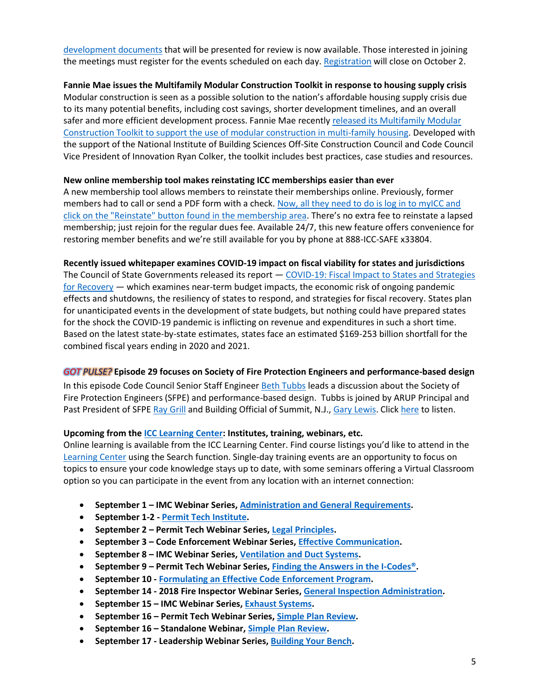[development documents](https://icc-es.org/items-for-the-october-2020-evaluation-committee-meeting/) that will be presented for review is now available. Those interested in joining the meetings must register for the events scheduled on each day. [Registration](https://icc-es.org/public-hearing/october-6-7-2020/?utm_source=magnetmail&utm_medium=email&utm_content=200827%2Dbsj%2Df&utm_campaign=bsj) will close on October 2.

## **Fannie Mae issues the Multifamily Modular Construction Toolkit in response to housing supply crisis** Modular construction is seen as a possible solution to the nation's affordable housing supply crisis due to its many potential benefits, including cost savings, shorter development timelines, and an overall safer and more efficient development process. Fannie Mae recently [released its Multifamily Modular](https://protect-us.mimecast.com/s/GaEFCW6RZ2SZzEBTxWV-aQ?domain=send.iccsafe.org)  [Construction Toolkit to support the use of modular construction in multi-family housing.](https://protect-us.mimecast.com/s/GaEFCW6RZ2SZzEBTxWV-aQ?domain=send.iccsafe.org) Developed with the support of the National Institute of Building Sciences Off-Site Construction Council and Code Council Vice President of Innovation Ryan Colker, the toolkit includes best practices, case studies and resources.

## **New online membership tool makes reinstating ICC memberships easier than ever**

A new membership tool allows members to reinstate their memberships online. Previously, former members had to call or send a PDF form with a check. Now, all they need to do is log in to myICC and [click on the "Reinstate" button found in the membership area](https://protect-us.mimecast.com/s/je4iCPN8PRt9vwxt0Z11lF?domain=send.iccsafe.org). There's no extra fee to reinstate a lapsed membership; just rejoin for the regular dues fee. Available 24/7, this new feature offers convenience for restoring member benefits and we're still available for you by phone at 888-ICC-SAFE x33804.

#### **Recently issued whitepaper examines COVID-19 impact on fiscal viability for states and jurisdictions**

The Council of State Governments released its report — [COVID-19: Fiscal Impact to States and Strategies](https://protect-us.mimecast.com/s/X0laCOYROQfl58KSvDj6NS?domain=send.iccsafe.org)   $for$  Recovery  $-$  which examines near-term budget impacts, the economic risk of ongoing pandemic effects and shutdowns, the resiliency of states to respond, and strategies for fiscal recovery. States plan for unanticipated events in the development of state budgets, but nothing could have prepared states for the shock the COVID-19 pandemic is inflicting on revenue and expenditures in such a short time. Based on the latest state-by-state estimates, states face an estimated \$169-253 billion shortfall for the combined fiscal years ending in 2020 and 2021.

## *GOT PULSE?* **Episode 29 focuses on Society of Fire Protection Engineers and performance-based design**

In this episode Code Council Senior Staff Engineer [Beth Tubbs](https://www.iccsafe.org/expert/beth-tubbs/) leads a discussion about the Society of Fire Protection Engineers (SFPE) and performance-based design. Tubbs is joined by ARUP Principal and Past President of SFPE [Ray Grill](https://www.iccsafe.org/wp-content/uploads/Grill-Bio-2020.doc) and Building Official of Summit, N.J., [Gary Lewis.](https://www.iccsafe.org/wp-content/uploads/Gary-Lewis-Bio.docx) Click [here](https://iccpulsepodcast.libsyn.com/episode-29-sfpe-performance-based-design) to listen.

## **Upcoming from the [ICC Learning Center:](https://learn.iccsafe.org/ihtml/application/student/interface.icc/index.htm) Institutes, training, webinars, etc.**

Online learning is available from the ICC Learning Center. Find course listings you'd like to attend in the [Learning Center](http://go.iccsafe.org/e/25182/2017-12-19/cmblwp/1298014948) using the Search function. Single-day training events are an opportunity to focus on topics to ensure your code knowledge stays up to date, with some seminars offering a Virtual Classroom option so you can participate in the event from any location with an internet connection:

- **September 1 – IMC Webinar Series, [Administration and General Requirements.](https://protect-us.mimecast.com/s/TzR6CXDR13tqmDzs6MC3eb?domain=send.iccsafe.org)**
- **September 1-2 - [Permit Tech Institute.](http://send.iccsafe.org/link.cfm?r=MY26aZdNpJPJZRkiDzP23w~~&pe=vPejUUkTgC_HJz4L10wblX7TRvEidZP3q6f9lDgFyZOEHQbF6jGEYQJpmgK-r1OXhTJKXoTe5Lrqk-l71_5cTw~~&t=4fTNHrMDW6JyC0MyuxWhnQ~~)**
- **September 2 – Permit Tech Webinar Series[, Legal Principles.](https://protect-us.mimecast.com/s/ylWBCNkRNPUEoPGImmE1UJ?domain=send.iccsafe.org)**
- **September 3 – Code Enforcement Webinar Series, [Effective Communication.](https://protect-us.mimecast.com/s/bp_MCW6RZ2SP0XWT618luc?domain=send.iccsafe.org)**
- **September 8 – IMC Webinar Series, [Ventilation and Duct Systems.](https://protect-us.mimecast.com/s/6auZCYER24sN5p4T02z0Xo?domain=send.iccsafe.org)**
- **September 9 – Permit Tech Webinar Series[, Finding the Answers in the I-Codes®.](https://protect-us.mimecast.com/s/6pnECOYROQf03ZyIEvs5Dl?domain=send.iccsafe.org)**
- **September 10 - [Formulating an Effective Code Enforcement Program.](http://send.iccsafe.org/link.cfm?r=DfOy20rrp-eFB7x8y4AhVQ~~&pe=KlLF36kU3E54ejkayR26k2u3BGFJgKAmiu4GtVZE0vjqdj3ENLtgzVRv76C4Esa7kwXI96exCST84HfKE20mWQ~~&t=Au7KchN_PbU0DeuO3lGI8Q~~)**
- **September 14 - 2018 Fire Inspector Webinar Series[, General Inspection Administration.](https://protect-us.mimecast.com/s/9Em6C4xJ5gSmr9vsOLTYc2?domain=send.iccsafe.org)**
- **September 15 – IMC Webinar Series[, Exhaust Systems.](https://protect-us.mimecast.com/s/FB_iCZ6R35SDz8pFzJdEM6?domain=send.iccsafe.org)**
- **September 16 – Permit Tech Webinar Series, [Simple Plan Review.](https://protect-us.mimecast.com/s/CqHxCPN8PRtoQNkIz1NwG8?domain=send.iccsafe.org)**
- **September 16 – Standalone Webinar, [Simple Plan Review.](https://protect-us.mimecast.com/s/kC8pC9rmlntM8NpFonBp2R?domain=send.iccsafe.org)**
- **September 17 - Leadership Webinar Series, [Building Your Bench.](https://protect-us.mimecast.com/s/NA3JCG6EDGS0wOQI8ukx1?domain=send.iccsafe.org)**